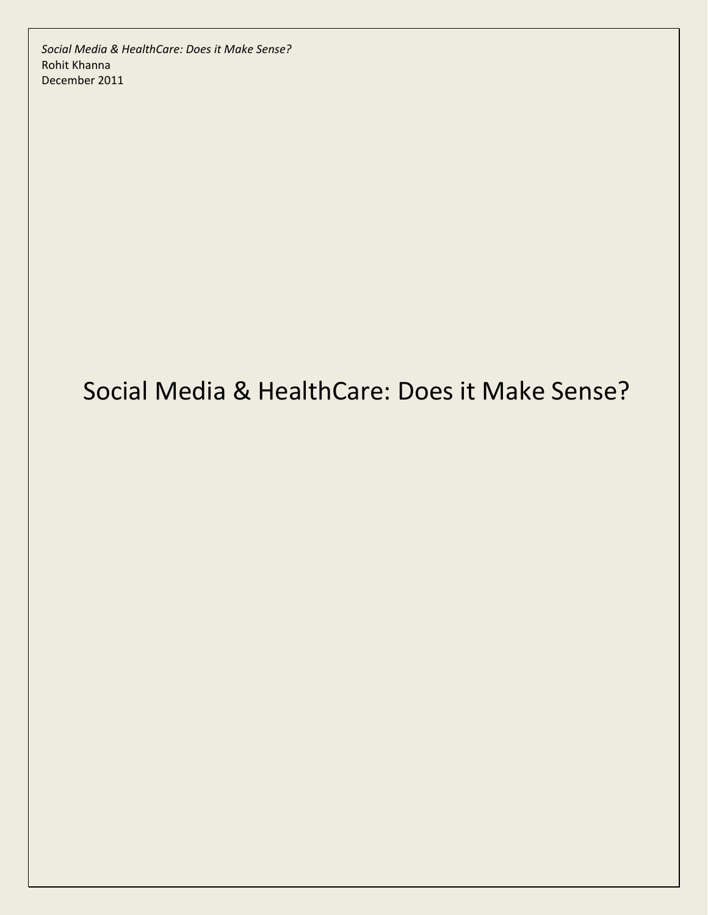# Social Media & HealthCare: Does it Make Sense?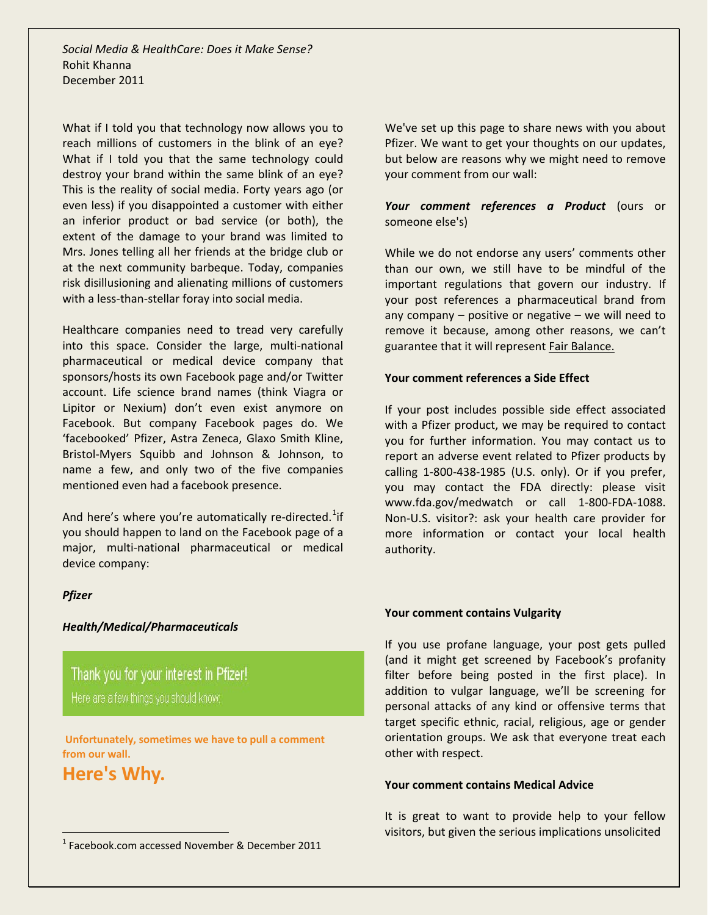What if I told you that technology now allows you to reach millions of customers in the blink of an eye? What if I told you that the same technology could destroy your brand within the same blink of an eye? This is the reality of social media. Forty years ago (or even less) if you disappointed a customer with either an inferior product or bad service (or both), the extent of the damage to your brand was limited to Mrs. Jones telling all her friends at the bridge club or at the next community barbeque. Today, companies risk disillusioning and alienating millions of customers with a less-than-stellar foray into social media.

Healthcare companies need to tread very carefully into this space. Consider the large, multi-national pharmaceutical or medical device company that sponsors/hosts its own Facebook page and/or Twitter account. Life science brand names (think Viagra or Lipitor or Nexium) don't even exist anymore on Facebook. But company Facebook pages do. We 'facebooked' Pfizer, Astra Zeneca, Glaxo Smith Kline, Bristol-Myers Squibb and Johnson & Johnson, to name a few, and only two of the five companies mentioned even had a facebook presence.

And here's where you're automatically re-directed.<sup>[1](#page-1-0)</sup>if you should happen to land on the Facebook page of a major, multi-national pharmaceutical or medical device company:

# *Pfizer*

# *Health/Medical/Pharmaceuticals*

Thank you for your interest in Pfizer!

**Unfortunately, sometimes we have to pull a comment from our wall.**

**Here's Why.**

We've set up this page to share news with you about Pfizer. We want to get your thoughts on our updates, but below are reasons why we might need to remove your comment from our wall:

*Your comment references a Product* (ours or someone else's)

While we do not endorse any users' comments other than our own, we still have to be mindful of the important regulations that govern our industry. If your post references a pharmaceutical brand from any company  $-$  positive or negative  $-$  we will need to remove it because, among other reasons, we can't guarantee that it will represent Fair Balance.

# **Your comment references a Side Effect**

If your post includes possible side effect associated with a Pfizer product, we may be required to contact you for further information. You may contact us to report an adverse event related to Pfizer products by calling 1-800-438-1985 (U.S. only). Or if you prefer, you may contact the FDA directly: please visit www.fda.gov/medwatch or call 1-800-FDA-1088. Non-U.S. visitor?: ask your health care provider for more information or contact your local health authority.

# **Your comment contains Vulgarity**

If you use profane language, your post gets pulled (and it might get screened by Facebook's profanity filter before being posted in the first place). In addition to vulgar language, we'll be screening for personal attacks of any kind or offensive terms that target specific ethnic, racial, religious, age or gender orientation groups. We ask that everyone treat each other with respect.

#### **Your comment contains Medical Advice**

It is great to want to provide help to your fellow visitors, but given the serious implications unsolicited

<span id="page-1-0"></span> $1$  Facebook.com accessed November & December 2011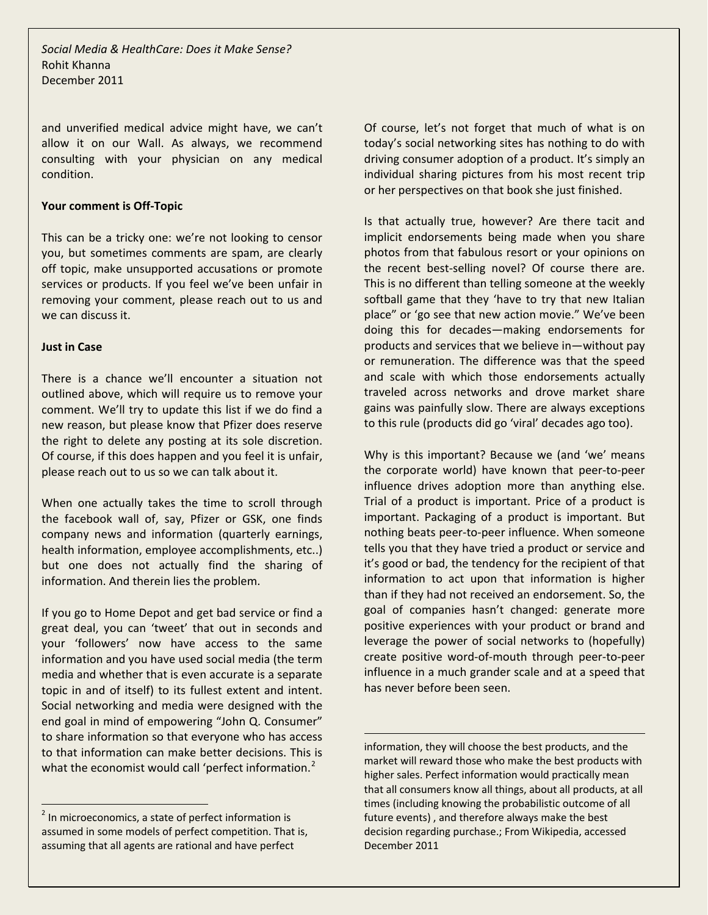and unverified medical advice might have, we can't allow it on our Wall. As always, we recommend consulting with your physician on any medical condition.

#### **Your comment is Off-Topic**

This can be a tricky one: we're not looking to censor you, but sometimes comments are spam, are clearly off topic, make unsupported accusations or promote services or products. If you feel we've been unfair in removing your comment, please reach out to us and we can discuss it.

#### **Just in Case**

There is a chance we'll encounter a situation not outlined above, which will require us to remove your comment. We'll try to update this list if we do find a new reason, but please know that Pfizer does reserve the right to delete any posting at its sole discretion. Of course, if this does happen and you feel it is unfair, please reach out to us so we can talk about it.

When one actually takes the time to scroll through the facebook wall of, say, Pfizer or GSK, one finds company news and information (quarterly earnings, health information, employee accomplishments, etc..) but one does not actually find the sharing of information. And therein lies the problem.

If you go to Home Depot and get bad service or find a great deal, you can 'tweet' that out in seconds and your 'followers' now have access to the same information and you have used social media (the term media and whether that is even accurate is a separate topic in and of itself) to its fullest extent and intent. Social networking and media were designed with the end goal in mind of empowering "John Q. Consumer" to share information so that everyone who has access to that information can make better decisions. This is what the economist would call 'perfect information.<sup>[2](#page-2-0)</sup>

Of course, let's not forget that much of what is on today's social networking sites has nothing to do with driving consumer adoption of a product. It's simply an individual sharing pictures from his most recent trip or her perspectives on that book she just finished.

Is that actually true, however? Are there tacit and implicit endorsements being made when you share photos from that fabulous resort or your opinions on the recent best-selling novel? Of course there are. This is no different than telling someone at the weekly softball game that they 'have to try that new Italian place" or 'go see that new action movie." We've been doing this for decades—making endorsements for products and services that we believe in—without pay or remuneration. The difference was that the speed and scale with which those endorsements actually traveled across networks and drove market share gains was painfully slow. There are always exceptions to this rule (products did go 'viral' decades ago too).

Why is this important? Because we (and 'we' means the corporate world) have known that peer-to-peer influence drives adoption more than anything else. Trial of a product is important. Price of a product is important. Packaging of a product is important. But nothing beats peer-to-peer influence. When someone tells you that they have tried a product or service and it's good or bad, the tendency for the recipient of that information to act upon that information is higher than if they had not received an endorsement. So, the goal of companies hasn't changed: generate more positive experiences with your product or brand and leverage the power of social networks to (hopefully) create positive word-of-mouth through peer-to-peer influence in a much grander scale and at a speed that has never before been seen.

information, they will choose the best products, and the market will reward those who make the best products with higher sales. Perfect information would practically mean that all consumers know all things, about all products, at all times (including knowing the probabilistic outcome of all future events) , and therefore always make the best decision regarding purchase.; From Wikipedia, accessed December 2011

 $\overline{\phantom{0}}$ 

<span id="page-2-0"></span><sup>&</sup>lt;sup>2</sup> In microeconomics, a state of perfect information is assumed in some models of perfect competition. That is, assuming that all agents are rational and have perfect